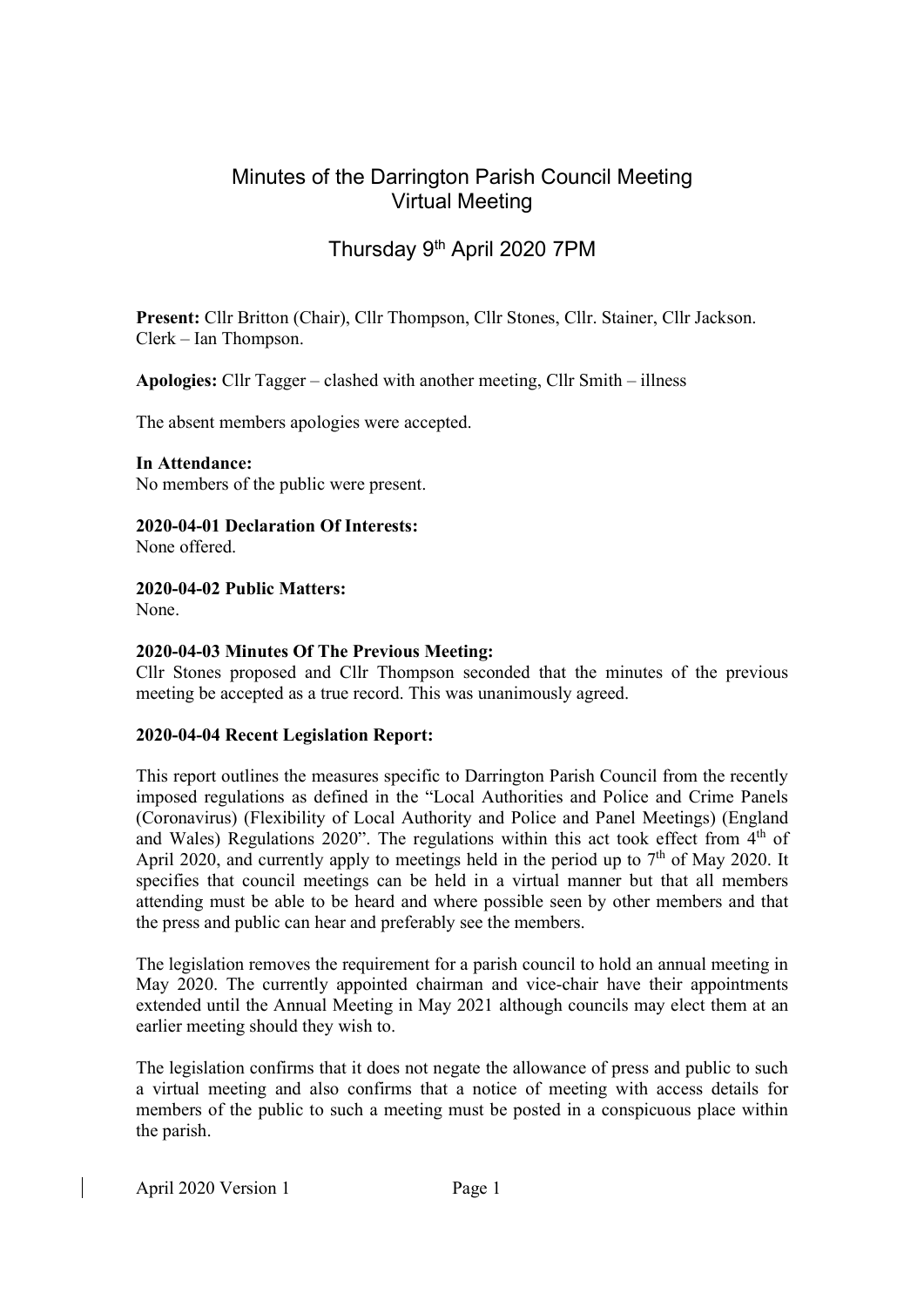## Minutes of the Darrington Parish Council Meeting Virtual Meeting

# Thursday 9th April 2020 7PM

Present: Cllr Britton (Chair), Cllr Thompson, Cllr Stones, Cllr. Stainer, Cllr Jackson. Clerk – Ian Thompson.

Apologies: Cllr Tagger – clashed with another meeting, Cllr Smith – illness

The absent members apologies were accepted.

In Attendance:

No members of the public were present.

### 2020-04-01 Declaration Of Interests:

None offered.

#### 2020-04-02 Public Matters:

None.

#### 2020-04-03 Minutes Of The Previous Meeting:

Cllr Stones proposed and Cllr Thompson seconded that the minutes of the previous meeting be accepted as a true record. This was unanimously agreed.

#### 2020-04-04 Recent Legislation Report:

This report outlines the measures specific to Darrington Parish Council from the recently imposed regulations as defined in the "Local Authorities and Police and Crime Panels (Coronavirus) (Flexibility of Local Authority and Police and Panel Meetings) (England and Wales) Regulations 2020". The regulations within this act took effect from  $4<sup>th</sup>$  of April 2020, and currently apply to meetings held in the period up to  $7<sup>th</sup>$  of May 2020. It specifies that council meetings can be held in a virtual manner but that all members attending must be able to be heard and where possible seen by other members and that the press and public can hear and preferably see the members.

The legislation removes the requirement for a parish council to hold an annual meeting in May 2020. The currently appointed chairman and vice-chair have their appointments extended until the Annual Meeting in May 2021 although councils may elect them at an earlier meeting should they wish to.

The legislation confirms that it does not negate the allowance of press and public to such a virtual meeting and also confirms that a notice of meeting with access details for members of the public to such a meeting must be posted in a conspicuous place within the parish.

April 2020 Version 1 Page 1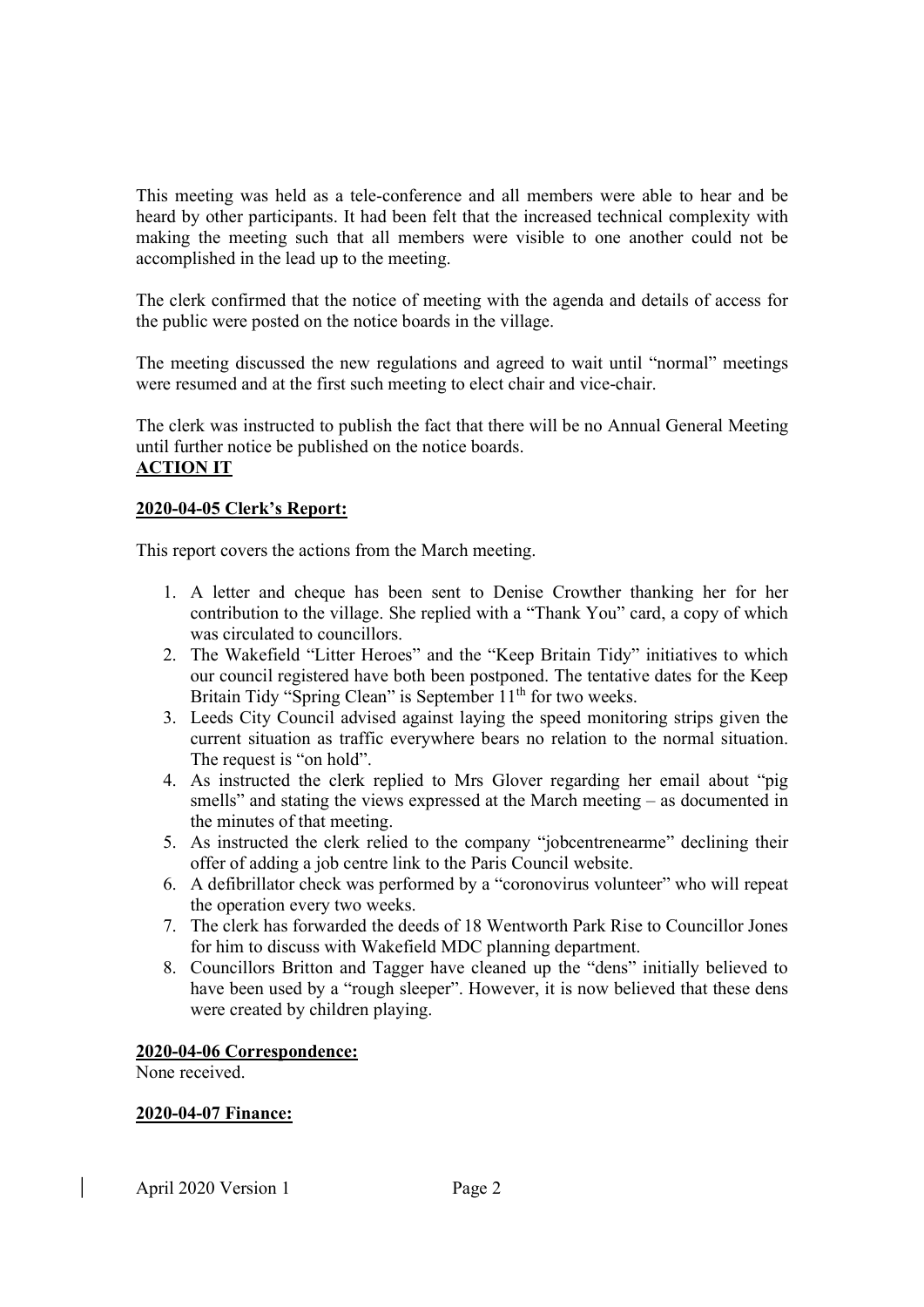This meeting was held as a tele-conference and all members were able to hear and be heard by other participants. It had been felt that the increased technical complexity with making the meeting such that all members were visible to one another could not be accomplished in the lead up to the meeting.

The clerk confirmed that the notice of meeting with the agenda and details of access for the public were posted on the notice boards in the village.

The meeting discussed the new regulations and agreed to wait until "normal" meetings were resumed and at the first such meeting to elect chair and vice-chair.

The clerk was instructed to publish the fact that there will be no Annual General Meeting until further notice be published on the notice boards. ACTION IT

#### 2020-04-05 Clerk's Report:

This report covers the actions from the March meeting.

- 1. A letter and cheque has been sent to Denise Crowther thanking her for her contribution to the village. She replied with a "Thank You" card, a copy of which was circulated to councillors.
- 2. The Wakefield "Litter Heroes" and the "Keep Britain Tidy" initiatives to which our council registered have both been postponed. The tentative dates for the Keep Britain Tidy "Spring Clean" is September 11<sup>th</sup> for two weeks.
- 3. Leeds City Council advised against laying the speed monitoring strips given the current situation as traffic everywhere bears no relation to the normal situation. The request is "on hold".
- 4. As instructed the clerk replied to Mrs Glover regarding her email about "pig smells" and stating the views expressed at the March meeting – as documented in the minutes of that meeting.
- 5. As instructed the clerk relied to the company "jobcentrenearme" declining their offer of adding a job centre link to the Paris Council website.
- 6. A defibrillator check was performed by a "coronovirus volunteer" who will repeat the operation every two weeks.
- 7. The clerk has forwarded the deeds of 18 Wentworth Park Rise to Councillor Jones for him to discuss with Wakefield MDC planning department.
- 8. Councillors Britton and Tagger have cleaned up the "dens" initially believed to have been used by a "rough sleeper". However, it is now believed that these dens were created by children playing.

#### 2020-04-06 Correspondence:

None received.

#### 2020-04-07 Finance: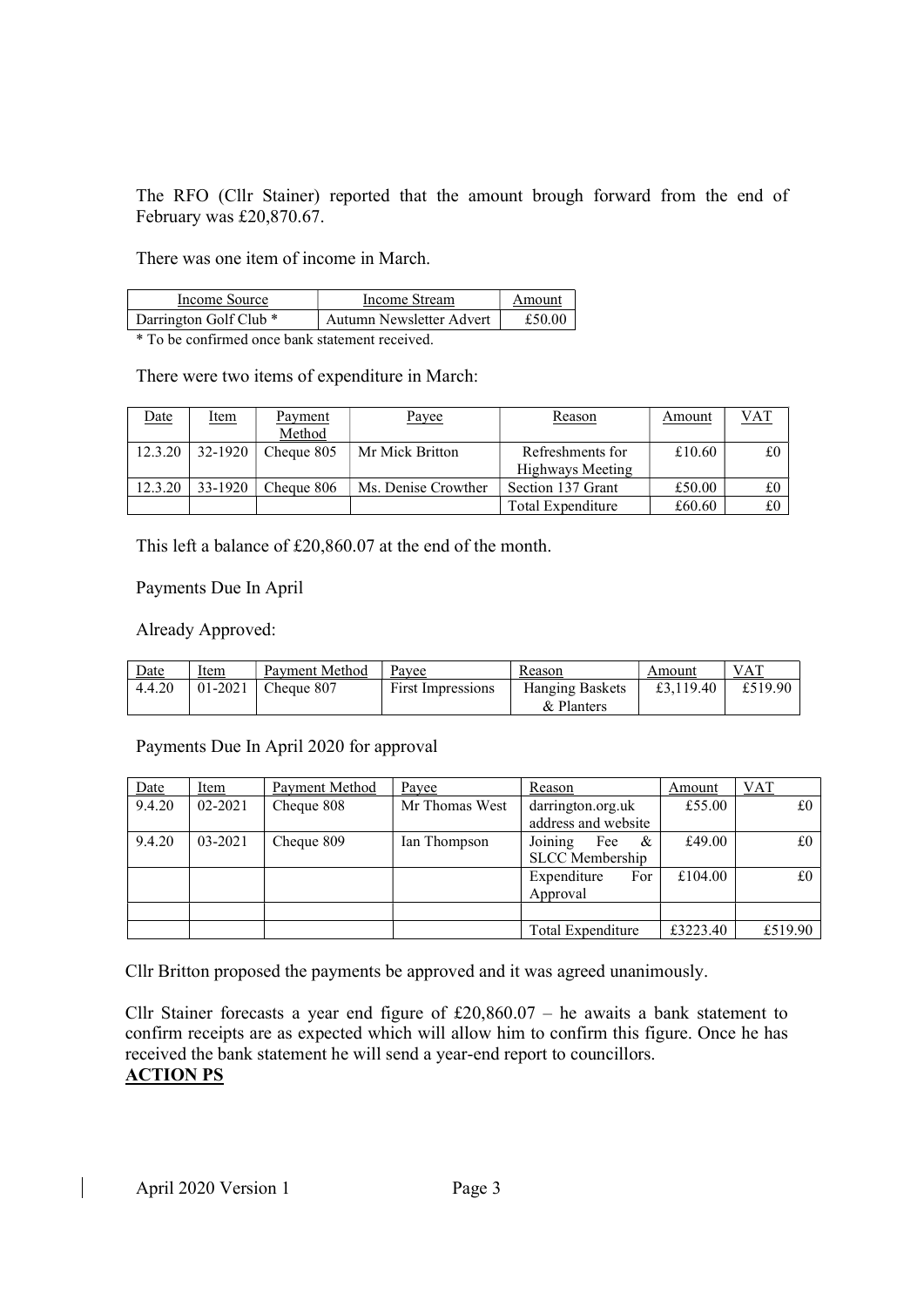The RFO (Cllr Stainer) reported that the amount brough forward from the end of February was £20,870.67.

There was one item of income in March.

| Income Source                     | Income Stream            | Amount |  |
|-----------------------------------|--------------------------|--------|--|
| Darrington Golf Club <sup>*</sup> | Autumn Newsletter Advert | £50.00 |  |

\* To be confirmed once bank statement received.

There were two items of expenditure in March:

| Date    | <u>Item</u> | Payment    | Payee               | Reason            | Amount | VAT |
|---------|-------------|------------|---------------------|-------------------|--------|-----|
|         |             | Method     |                     |                   |        |     |
| 12.3.20 | 32-1920     | Cheque 805 | Mr Mick Britton     | Refreshments for  | £10.60 | £0  |
|         |             |            |                     | Highways Meeting  |        |     |
| 12.3.20 | 33-1920     | Cheque 806 | Ms. Denise Crowther | Section 137 Grant | £50.00 | £0  |
|         |             |            |                     | Total Expenditure | £60.60 | £0  |

This left a balance of £20,860.07 at the end of the month.

#### Payments Due In April

Already Approved:

| Date   | ltem    | Payment Method | Pavee                    | Reason                               | Amount    | VAT     |
|--------|---------|----------------|--------------------------|--------------------------------------|-----------|---------|
| 4.4.20 | 01-2021 | Cheque 807     | <b>First Impressions</b> | <b>Hanging Baskets</b><br>& Planters | £3,119.40 | £519.90 |

Payments Due In April 2020 for approval

| Date   | Item        | Payment Method | Payee          | Reason                 | Amount   | <u>VAT</u> |
|--------|-------------|----------------|----------------|------------------------|----------|------------|
| 9.4.20 | $02 - 2021$ | Cheque 808     | Mr Thomas West | darrington.org.uk      | £55.00   | £0         |
|        |             |                |                | address and website    |          |            |
| 9.4.20 | 03-2021     | Cheque 809     | Ian Thompson   | Fee<br>&<br>Joining    | £49.00   | £0         |
|        |             |                |                | <b>SLCC</b> Membership |          |            |
|        |             |                |                | Expenditure<br>For     | £104.00  | £0         |
|        |             |                |                | Approval               |          |            |
|        |             |                |                |                        |          |            |
|        |             |                |                | Total Expenditure      | £3223.40 | £519.90    |

Cllr Britton proposed the payments be approved and it was agreed unanimously.

Cllr Stainer forecasts a year end figure of  $£20,860.07 -$  he awaits a bank statement to confirm receipts are as expected which will allow him to confirm this figure. Once he has received the bank statement he will send a year-end report to councillors. ACTION PS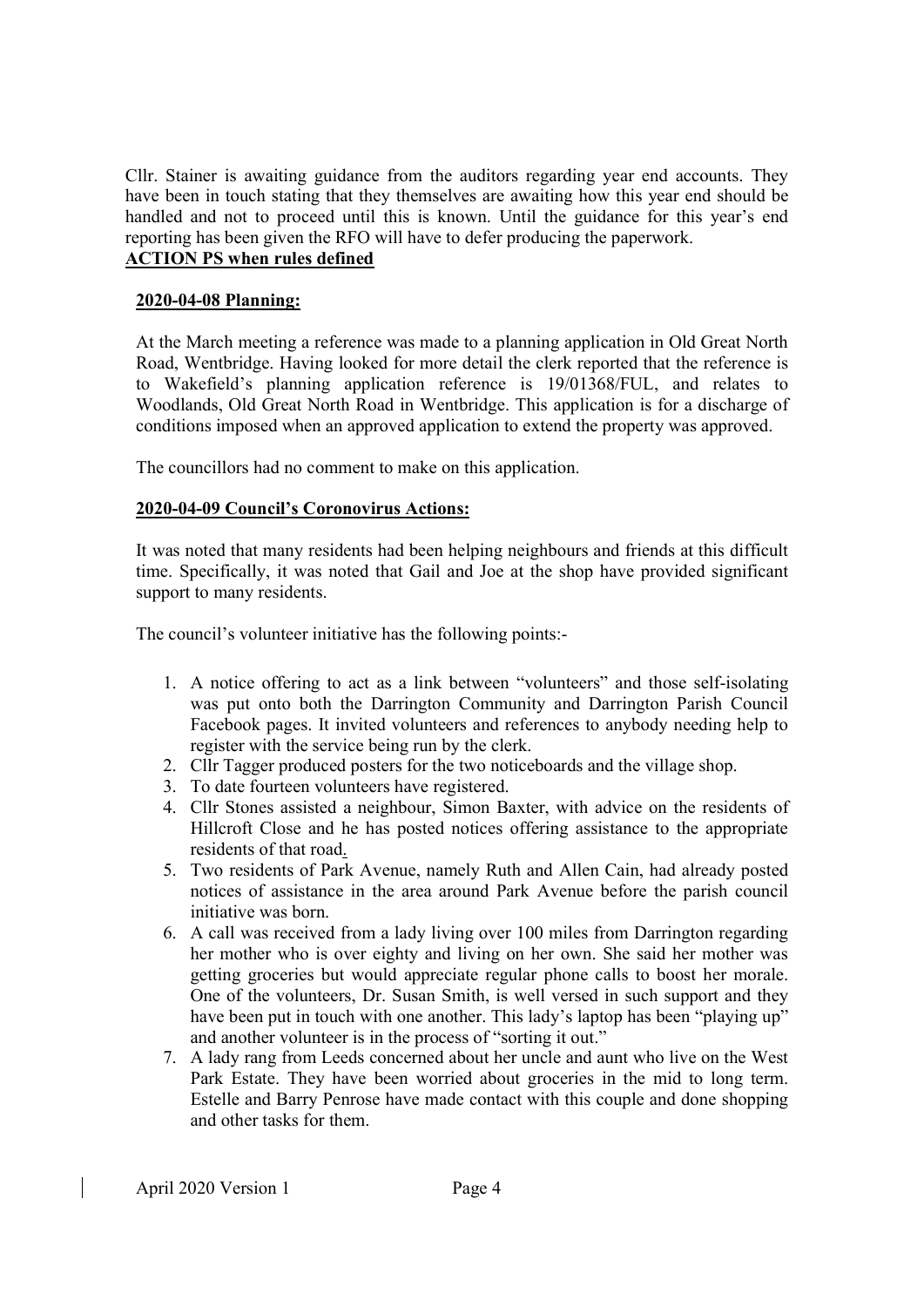Cllr. Stainer is awaiting guidance from the auditors regarding year end accounts. They have been in touch stating that they themselves are awaiting how this year end should be handled and not to proceed until this is known. Until the guidance for this year's end reporting has been given the RFO will have to defer producing the paperwork. ACTION PS when rules defined

#### 2020-04-08 Planning:

At the March meeting a reference was made to a planning application in Old Great North Road, Wentbridge. Having looked for more detail the clerk reported that the reference is to Wakefield's planning application reference is 19/01368/FUL, and relates to Woodlands, Old Great North Road in Wentbridge. This application is for a discharge of conditions imposed when an approved application to extend the property was approved.

The councillors had no comment to make on this application.

#### 2020-04-09 Council's Coronovirus Actions:

It was noted that many residents had been helping neighbours and friends at this difficult time. Specifically, it was noted that Gail and Joe at the shop have provided significant support to many residents.

The council's volunteer initiative has the following points:-

- 1. A notice offering to act as a link between "volunteers" and those self-isolating was put onto both the Darrington Community and Darrington Parish Council Facebook pages. It invited volunteers and references to anybody needing help to register with the service being run by the clerk.
- 2. Cllr Tagger produced posters for the two noticeboards and the village shop.
- 3. To date fourteen volunteers have registered.
- 4. Cllr Stones assisted a neighbour, Simon Baxter, with advice on the residents of Hillcroft Close and he has posted notices offering assistance to the appropriate residents of that road.
- 5. Two residents of Park Avenue, namely Ruth and Allen Cain, had already posted notices of assistance in the area around Park Avenue before the parish council initiative was born.
- 6. A call was received from a lady living over 100 miles from Darrington regarding her mother who is over eighty and living on her own. She said her mother was getting groceries but would appreciate regular phone calls to boost her morale. One of the volunteers, Dr. Susan Smith, is well versed in such support and they have been put in touch with one another. This lady's laptop has been "playing up" and another volunteer is in the process of "sorting it out."
- 7. A lady rang from Leeds concerned about her uncle and aunt who live on the West Park Estate. They have been worried about groceries in the mid to long term. Estelle and Barry Penrose have made contact with this couple and done shopping and other tasks for them.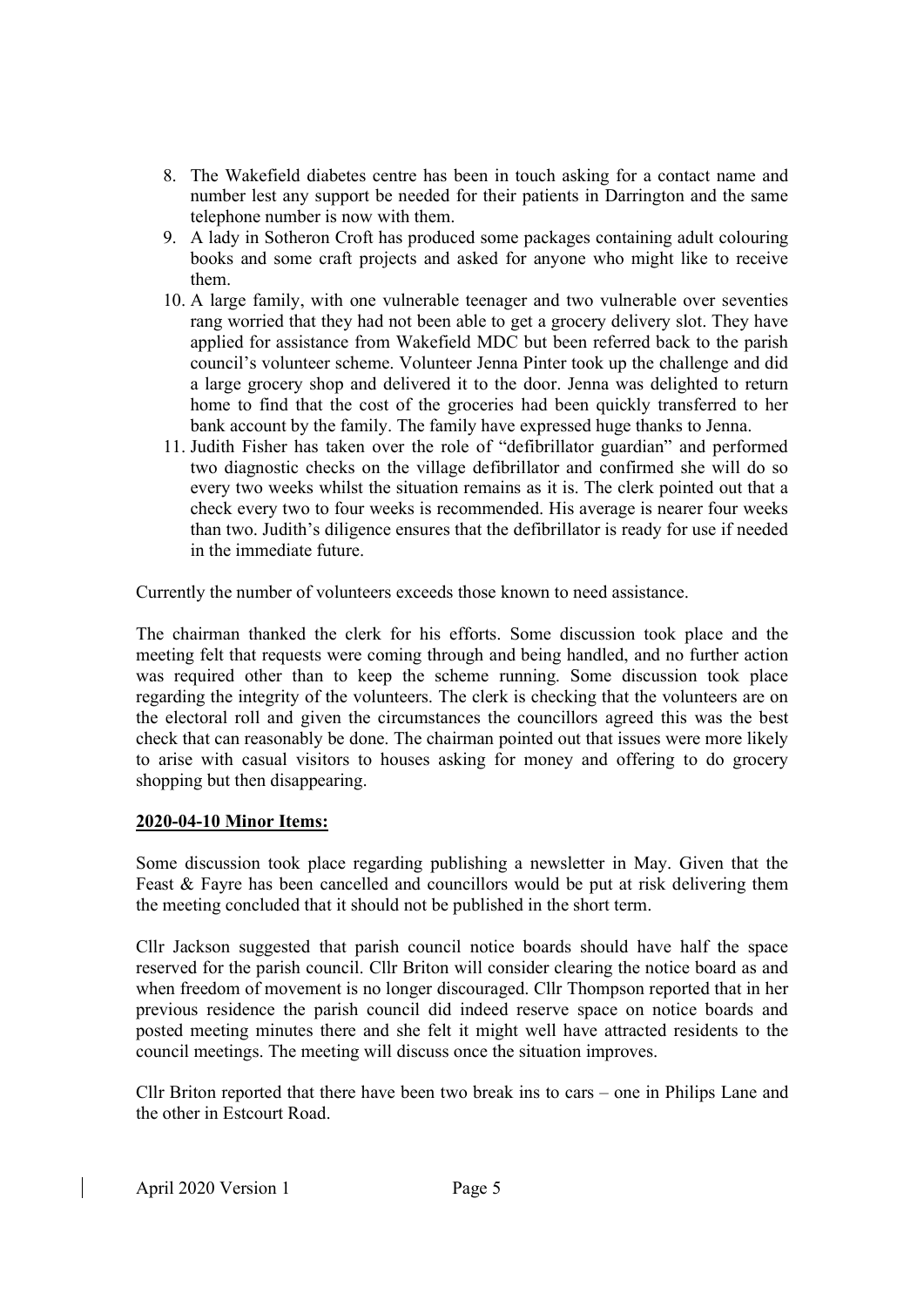- 8. The Wakefield diabetes centre has been in touch asking for a contact name and number lest any support be needed for their patients in Darrington and the same telephone number is now with them.
- 9. A lady in Sotheron Croft has produced some packages containing adult colouring books and some craft projects and asked for anyone who might like to receive them.
- 10. A large family, with one vulnerable teenager and two vulnerable over seventies rang worried that they had not been able to get a grocery delivery slot. They have applied for assistance from Wakefield MDC but been referred back to the parish council's volunteer scheme. Volunteer Jenna Pinter took up the challenge and did a large grocery shop and delivered it to the door. Jenna was delighted to return home to find that the cost of the groceries had been quickly transferred to her bank account by the family. The family have expressed huge thanks to Jenna.
- 11. Judith Fisher has taken over the role of "defibrillator guardian" and performed two diagnostic checks on the village defibrillator and confirmed she will do so every two weeks whilst the situation remains as it is. The clerk pointed out that a check every two to four weeks is recommended. His average is nearer four weeks than two. Judith's diligence ensures that the defibrillator is ready for use if needed in the immediate future.

Currently the number of volunteers exceeds those known to need assistance.

The chairman thanked the clerk for his efforts. Some discussion took place and the meeting felt that requests were coming through and being handled, and no further action was required other than to keep the scheme running. Some discussion took place regarding the integrity of the volunteers. The clerk is checking that the volunteers are on the electoral roll and given the circumstances the councillors agreed this was the best check that can reasonably be done. The chairman pointed out that issues were more likely to arise with casual visitors to houses asking for money and offering to do grocery shopping but then disappearing.

#### 2020-04-10 Minor Items:

Some discussion took place regarding publishing a newsletter in May. Given that the Feast & Fayre has been cancelled and councillors would be put at risk delivering them the meeting concluded that it should not be published in the short term.

Cllr Jackson suggested that parish council notice boards should have half the space reserved for the parish council. Cllr Briton will consider clearing the notice board as and when freedom of movement is no longer discouraged. Cllr Thompson reported that in her previous residence the parish council did indeed reserve space on notice boards and posted meeting minutes there and she felt it might well have attracted residents to the council meetings. The meeting will discuss once the situation improves.

Cllr Briton reported that there have been two break ins to cars – one in Philips Lane and the other in Estcourt Road.